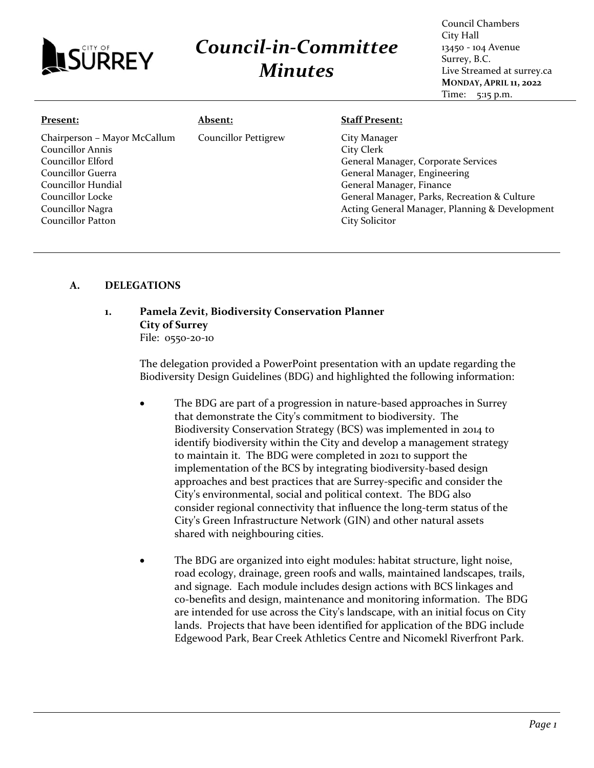

## *Council-in-Committee Minutes*

Council Chambers City Hall 13450 - 104 Avenue Surrey, B.C. Live Streamed at surrey.ca **MONDAY, APRIL 11, 2022** Time: 5:15 p.m.

| Present:                                                                                                                                                                      | <b>Absent:</b>              | <b>Staff Present:</b>                                                                                                                                                                                                           |
|-------------------------------------------------------------------------------------------------------------------------------------------------------------------------------|-----------------------------|---------------------------------------------------------------------------------------------------------------------------------------------------------------------------------------------------------------------------------|
| Chairperson - Mayor McCallum<br>Councillor Annis<br>Councillor Elford<br>Councillor Guerra<br>Councillor Hundial<br>Councillor Locke<br>Councillor Nagra<br>Councillor Patton | <b>Councillor Pettigrew</b> | City Manager<br>City Clerk<br>General Manager, Corporate Services<br>General Manager, Engineering<br>General Manager, Finance<br>General Manager, Parks, Recreation & Culture<br>Acting General Manager, Planning & Development |
|                                                                                                                                                                               |                             | City Solicitor                                                                                                                                                                                                                  |

## **A. DELEGATIONS**

## **1. Pamela Zevit, Biodiversity Conservation Planner City of Surrey** File: 0550-20-10

The delegation provided a PowerPoint presentation with an update regarding the Biodiversity Design Guidelines (BDG) and highlighted the following information:

- The BDG are part of a progression in nature-based approaches in Surrey that demonstrate the City's commitment to biodiversity. The Biodiversity Conservation Strategy (BCS) was implemented in 2014 to identify biodiversity within the City and develop a management strategy to maintain it. The BDG were completed in 2021 to support the implementation of the BCS by integrating biodiversity-based design approaches and best practices that are Surrey-specific and consider the City's environmental, social and political context. The BDG also consider regional connectivity that influence the long-term status of the City's Green Infrastructure Network (GIN) and other natural assets shared with neighbouring cities.
- The BDG are organized into eight modules: habitat structure, light noise, road ecology, drainage, green roofs and walls, maintained landscapes, trails, and signage. Each module includes design actions with BCS linkages and co-benefits and design, maintenance and monitoring information. The BDG are intended for use across the City's landscape, with an initial focus on City lands. Projects that have been identified for application of the BDG include Edgewood Park, Bear Creek Athletics Centre and Nicomekl Riverfront Park.